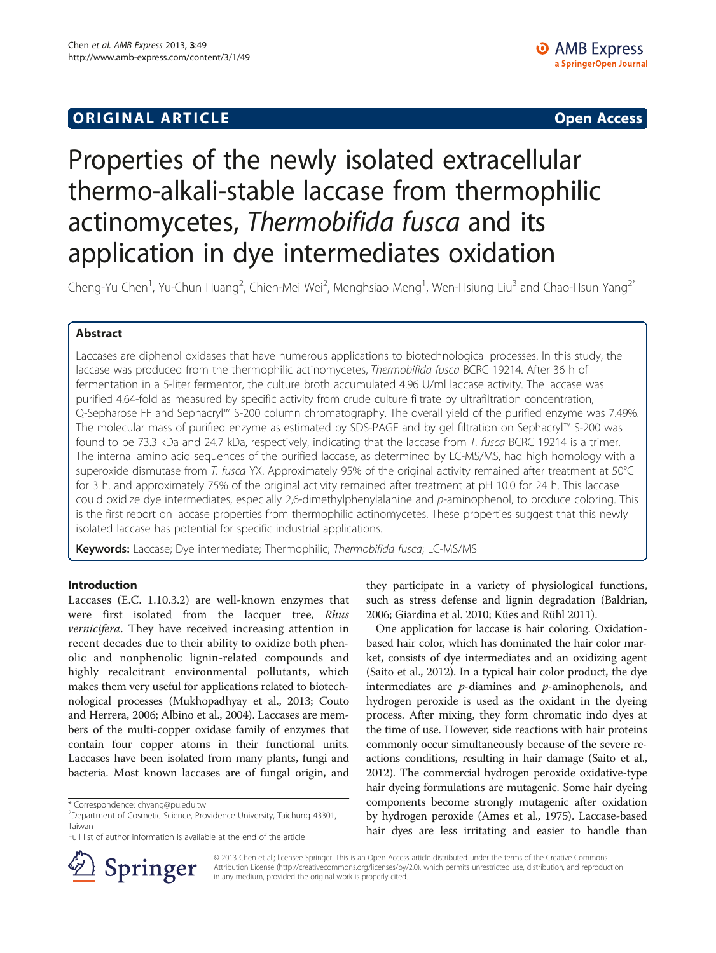# **ORIGINAL ARTICLE CONSUMING A LIGACION** CONSUMING A LIGACION CONSUMING A LIGACION CONSUMING A LIGACION CONSUMING A LIGACION CONSUMING A LIGACION CONSUMING A LIGACION CONSUMING A LIGACION CONSUMING A LIGACION CONSUMING A

# Properties of the newly isolated extracellular thermo-alkali-stable laccase from thermophilic actinomycetes, Thermobifida fusca and its application in dye intermediates oxidation

Cheng-Yu Chen<sup>1</sup>, Yu-Chun Huang<sup>2</sup>, Chien-Mei Wei<sup>2</sup>, Menghsiao Meng<sup>1</sup>, Wen-Hsiung Liu<sup>3</sup> and Chao-Hsun Yang<sup>2\*</sup>

# Abstract

Laccases are diphenol oxidases that have numerous applications to biotechnological processes. In this study, the laccase was produced from the thermophilic actinomycetes, Thermobifida fusca BCRC 19214. After 36 h of fermentation in a 5-liter fermentor, the culture broth accumulated 4.96 U/ml laccase activity. The laccase was purified 4.64-fold as measured by specific activity from crude culture filtrate by ultrafiltration concentration, Q-Sepharose FF and Sephacryl™ S-200 column chromatography. The overall yield of the purified enzyme was 7.49%. The molecular mass of purified enzyme as estimated by SDS-PAGE and by gel filtration on Sephacryl™ S-200 was found to be 73.3 kDa and 24.7 kDa, respectively, indicating that the laccase from T. fusca BCRC 19214 is a trimer. The internal amino acid sequences of the purified laccase, as determined by LC-MS/MS, had high homology with a superoxide dismutase from T. fusca YX. Approximately 95% of the original activity remained after treatment at 50°C for 3 h. and approximately 75% of the original activity remained after treatment at pH 10.0 for 24 h. This laccase could oxidize dye intermediates, especially 2,6-dimethylphenylalanine and p-aminophenol, to produce coloring. This is the first report on laccase properties from thermophilic actinomycetes. These properties suggest that this newly isolated laccase has potential for specific industrial applications.

Keywords: Laccase; Dye intermediate; Thermophilic; Thermobifida fusca; LC-MS/MS

# Introduction

Laccases (E.C. 1.10.3.2) are well-known enzymes that were first isolated from the lacquer tree, Rhus vernicifera. They have received increasing attention in recent decades due to their ability to oxidize both phenolic and nonphenolic lignin-related compounds and highly recalcitrant environmental pollutants, which makes them very useful for applications related to biotechnological processes (Mukhopadhyay et al., [2013](#page-8-0); Couto and Herrera, [2006](#page-8-0); Albino et al., [2004\)](#page-8-0). Laccases are members of the multi-copper oxidase family of enzymes that contain four copper atoms in their functional units. Laccases have been isolated from many plants, fungi and bacteria. Most known laccases are of fungal origin, and



One application for laccase is hair coloring. Oxidationbased hair color, which has dominated the hair color market, consists of dye intermediates and an oxidizing agent (Saito et al., [2012](#page-8-0)). In a typical hair color product, the dye intermediates are  $p$ -diamines and  $p$ -aminophenols, and hydrogen peroxide is used as the oxidant in the dyeing process. After mixing, they form chromatic indo dyes at the time of use. However, side reactions with hair proteins commonly occur simultaneously because of the severe reactions conditions, resulting in hair damage (Saito et al., [2012](#page-8-0)). The commercial hydrogen peroxide oxidative-type hair dyeing formulations are mutagenic. Some hair dyeing components become strongly mutagenic after oxidation by hydrogen peroxide (Ames et al., [1975\)](#page-8-0). Laccase-based hair dyes are less irritating and easier to handle than



© 2013 Chen et al.; licensee Springer. This is an Open Access article distributed under the terms of the Creative Commons Attribution License [\(http://creativecommons.org/licenses/by/2.0\)](http://creativecommons.org/licenses/by/2.0), which permits unrestricted use, distribution, and reproduction in any medium, provided the original work is properly cited.

<sup>\*</sup> Correspondence: [chyang@pu.edu.tw](mailto:chyang@pu.edu.tw) <sup>2</sup>

<sup>&</sup>lt;sup>2</sup>Department of Cosmetic Science, Providence University, Taichung 43301, Taiwan

Full list of author information is available at the end of the article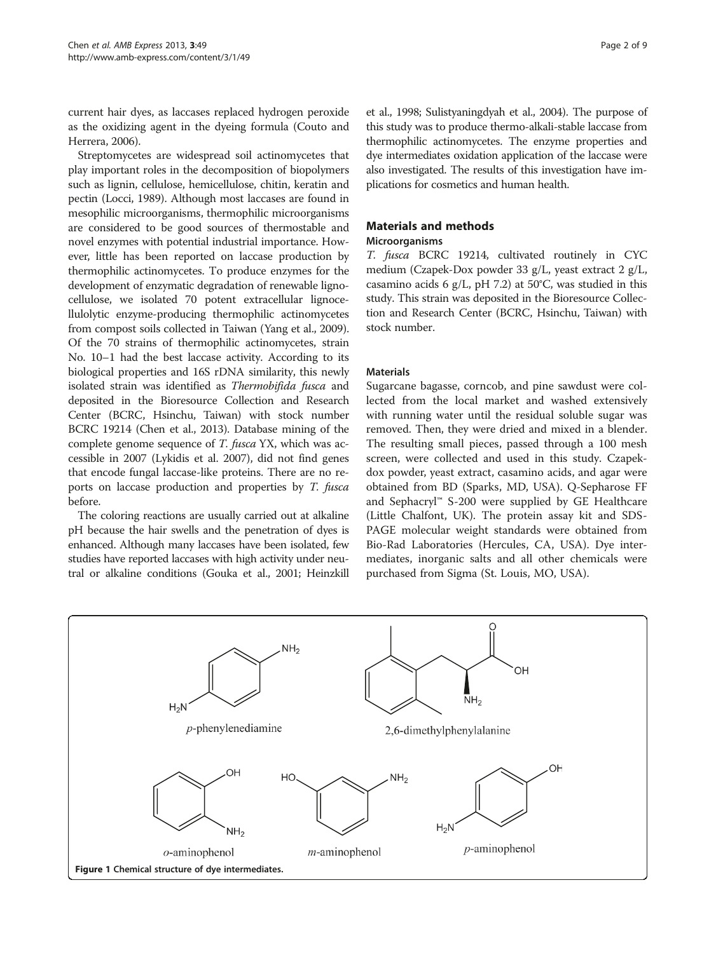<span id="page-1-0"></span>current hair dyes, as laccases replaced hydrogen peroxide as the oxidizing agent in the dyeing formula (Couto and Herrera, [2006\)](#page-8-0).

Streptomycetes are widespread soil actinomycetes that play important roles in the decomposition of biopolymers such as lignin, cellulose, hemicellulose, chitin, keratin and pectin (Locci, [1989\)](#page-8-0). Although most laccases are found in mesophilic microorganisms, thermophilic microorganisms are considered to be good sources of thermostable and novel enzymes with potential industrial importance. However, little has been reported on laccase production by thermophilic actinomycetes. To produce enzymes for the development of enzymatic degradation of renewable lignocellulose, we isolated 70 potent extracellular lignocellulolytic enzyme-producing thermophilic actinomycetes from compost soils collected in Taiwan (Yang et al., [2009](#page-8-0)). Of the 70 strains of thermophilic actinomycetes, strain No. 10–1 had the best laccase activity. According to its biological properties and 16S rDNA similarity, this newly isolated strain was identified as Thermobifida fusca and deposited in the Bioresource Collection and Research Center (BCRC, Hsinchu, Taiwan) with stock number BCRC 19214 (Chen et al., [2013](#page-8-0)). Database mining of the complete genome sequence of T. fusca YX, which was accessible in 2007 (Lykidis et al. [2007](#page-8-0)), did not find genes that encode fungal laccase-like proteins. There are no reports on laccase production and properties by T. fusca before.

The coloring reactions are usually carried out at alkaline pH because the hair swells and the penetration of dyes is enhanced. Although many laccases have been isolated, few studies have reported laccases with high activity under neutral or alkaline conditions (Gouka et al., [2001](#page-8-0); Heinzkill

et al., [1998;](#page-8-0) Sulistyaningdyah et al., [2004\)](#page-8-0). The purpose of this study was to produce thermo-alkali-stable laccase from thermophilic actinomycetes. The enzyme properties and dye intermediates oxidation application of the laccase were also investigated. The results of this investigation have implications for cosmetics and human health.

# Materials and methods

## Microorganisms

T. fusca BCRC 19214, cultivated routinely in CYC medium (Czapek-Dox powder 33 g/L, yeast extract 2 g/L, casamino acids 6 g/L, pH 7.2) at 50°C, was studied in this study. This strain was deposited in the Bioresource Collection and Research Center (BCRC, Hsinchu, Taiwan) with stock number.

### Materials

Sugarcane bagasse, corncob, and pine sawdust were collected from the local market and washed extensively with running water until the residual soluble sugar was removed. Then, they were dried and mixed in a blender. The resulting small pieces, passed through a 100 mesh screen, were collected and used in this study. Czapekdox powder, yeast extract, casamino acids, and agar were obtained from BD (Sparks, MD, USA). Q-Sepharose FF and Sephacryl™ S-200 were supplied by GE Healthcare (Little Chalfont, UK). The protein assay kit and SDS-PAGE molecular weight standards were obtained from Bio-Rad Laboratories (Hercules, CA, USA). Dye intermediates, inorganic salts and all other chemicals were purchased from Sigma (St. Louis, MO, USA).

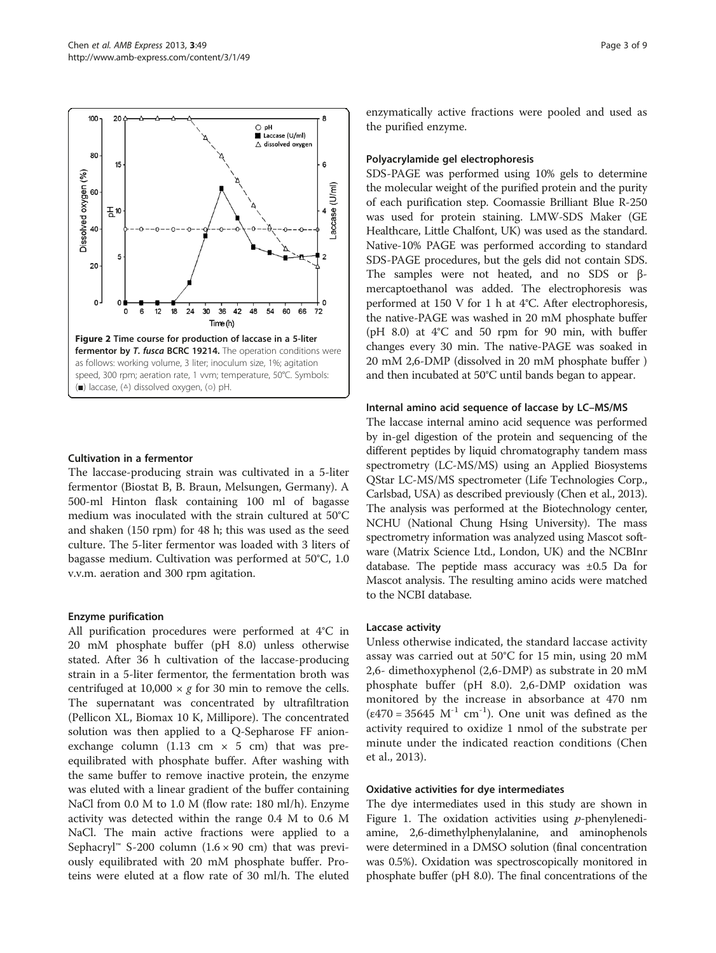<span id="page-2-0"></span>

### Cultivation in a fermentor

The laccase-producing strain was cultivated in a 5-liter fermentor (Biostat B, B. Braun, Melsungen, Germany). A 500-ml Hinton flask containing 100 ml of bagasse medium was inoculated with the strain cultured at 50°C and shaken (150 rpm) for 48 h; this was used as the seed culture. The 5-liter fermentor was loaded with 3 liters of bagasse medium. Cultivation was performed at 50°C, 1.0 v.v.m. aeration and 300 rpm agitation.

### Enzyme purification

All purification procedures were performed at 4°C in 20 mM phosphate buffer (pH 8.0) unless otherwise stated. After 36 h cultivation of the laccase-producing strain in a 5-liter fermentor, the fermentation broth was centrifuged at  $10,000 \times g$  for 30 min to remove the cells. The supernatant was concentrated by ultrafiltration (Pellicon XL, Biomax 10 K, Millipore). The concentrated solution was then applied to a Q-Sepharose FF anionexchange column (1.13 cm  $\times$  5 cm) that was preequilibrated with phosphate buffer. After washing with the same buffer to remove inactive protein, the enzyme was eluted with a linear gradient of the buffer containing NaCl from 0.0 M to 1.0 M (flow rate: 180 ml/h). Enzyme activity was detected within the range 0.4 M to 0.6 M NaCl. The main active fractions were applied to a Sephacryl<sup>™</sup> S-200 column  $(1.6 \times 90 \text{ cm})$  that was previously equilibrated with 20 mM phosphate buffer. Proteins were eluted at a flow rate of 30 ml/h. The eluted enzymatically active fractions were pooled and used as the purified enzyme.

### Polyacrylamide gel electrophoresis

SDS-PAGE was performed using 10% gels to determine the molecular weight of the purified protein and the purity of each purification step. Coomassie Brilliant Blue R-250 was used for protein staining. LMW-SDS Maker (GE Healthcare, Little Chalfont, UK) was used as the standard. Native-10% PAGE was performed according to standard SDS-PAGE procedures, but the gels did not contain SDS. The samples were not heated, and no SDS or βmercaptoethanol was added. The electrophoresis was performed at 150 V for 1 h at 4°C. After electrophoresis, the native-PAGE was washed in 20 mM phosphate buffer (pH 8.0) at 4°C and 50 rpm for 90 min, with buffer changes every 30 min. The native-PAGE was soaked in 20 mM 2,6-DMP (dissolved in 20 mM phosphate buffer ) and then incubated at 50°C until bands began to appear.

### Internal amino acid sequence of laccase by LC–MS/MS

The laccase internal amino acid sequence was performed by in-gel digestion of the protein and sequencing of the different peptides by liquid chromatography tandem mass spectrometry (LC-MS/MS) using an Applied Biosystems QStar LC-MS/MS spectrometer (Life Technologies Corp., Carlsbad, USA) as described previously (Chen et al., [2013](#page-8-0)). The analysis was performed at the Biotechnology center, NCHU (National Chung Hsing University). The mass spectrometry information was analyzed using Mascot software (Matrix Science Ltd., London, UK) and the NCBInr database. The peptide mass accuracy was ±0.5 Da for Mascot analysis. The resulting amino acids were matched to the NCBI database.

### Laccase activity

Unless otherwise indicated, the standard laccase activity assay was carried out at 50°C for 15 min, using 20 mM 2,6- dimethoxyphenol (2,6-DMP) as substrate in 20 mM phosphate buffer (pH 8.0). 2,6-DMP oxidation was monitored by the increase in absorbance at 470 nm  $(\epsilon 470 = 35645 \text{ M}^{-1} \text{ cm}^{-1})$ . One unit was defined as the activity required to oxidize 1 nmol of the substrate per minute under the indicated reaction conditions (Chen et al., [2013](#page-8-0)).

### Oxidative activities for dye intermediates

The dye intermediates used in this study are shown in Figure [1](#page-1-0). The oxidation activities using  $p$ -phenylenediamine, 2,6-dimethylphenylalanine, and aminophenols were determined in a DMSO solution (final concentration was 0.5%). Oxidation was spectroscopically monitored in phosphate buffer (pH 8.0). The final concentrations of the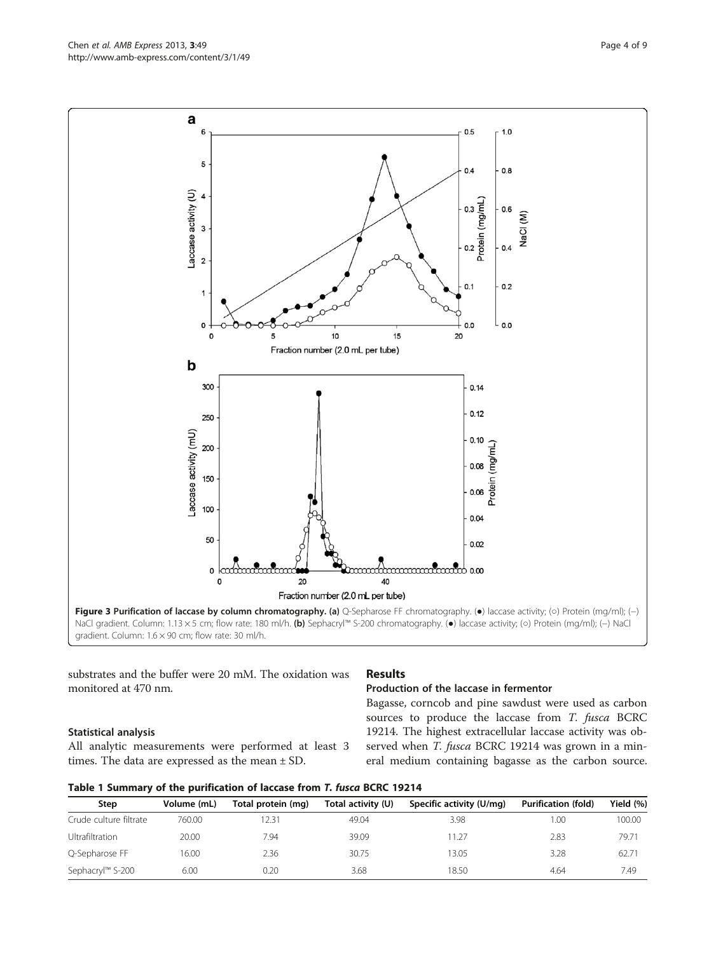Statistical analysis All analytic measurements were performed at least 3 times. The data are expressed as the mean ± SD.

monitored at 470 nm.

# Production of the laccase in fermentor

Bagasse, corncob and pine sawdust were used as carbon sources to produce the laccase from T. fusca BCRC 19214. The highest extracellular laccase activity was observed when T. fusca BCRC 19214 was grown in a mineral medium containing bagasse as the carbon source.

|  |  |  |  |  |  |  | Table 1 Summary of the purification of laccase from T. fusca BCRC 19214 |
|--|--|--|--|--|--|--|-------------------------------------------------------------------------|
|--|--|--|--|--|--|--|-------------------------------------------------------------------------|

| Step                   | Volume (mL) | Total protein (mg) | Total activity (U) | Specific activity (U/mg) | <b>Purification (fold)</b> | Yield $(%)$ |
|------------------------|-------------|--------------------|--------------------|--------------------------|----------------------------|-------------|
| Crude culture filtrate | 760.00      | 2.31               | 49.04              | 3.98                     | .00                        | 100.00      |
| <b>Ultrafiltration</b> | 20.00       | 7.94               | 39.09              | 11.27                    | 2.83                       | 79.71       |
| Q-Sepharose FF         | 16.00       | 2.36               | 30.75              | 13.05                    | 3.28                       | 62.71       |
| Sephacryl™ S-200       | 6.00        | 0.20               | 3.68               | 18.50                    | 4.64                       | 7.49        |

<span id="page-3-0"></span>Chen et al. AMB Express 2013, 3:49 Page 4 of 9 http://www.amb-express.com/content/3/1/49

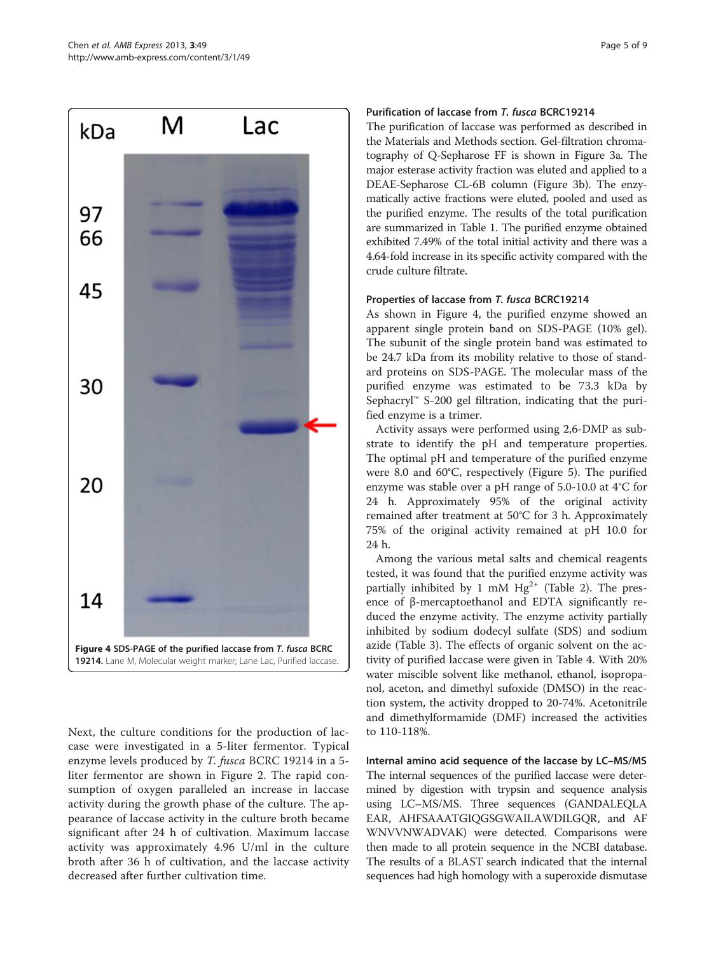

Next, the culture conditions for the production of laccase were investigated in a 5-liter fermentor. Typical enzyme levels produced by *T. fusca* BCRC 19214 in a 5liter fermentor are shown in Figure [2](#page-2-0). The rapid consumption of oxygen paralleled an increase in laccase activity during the growth phase of the culture. The appearance of laccase activity in the culture broth became significant after 24 h of cultivation. Maximum laccase activity was approximately 4.96 U/ml in the culture broth after 36 h of cultivation, and the laccase activity decreased after further cultivation time.

# Purification of laccase from T. fusca BCRC19214

The purification of laccase was performed as described in the [Materials and Methods](#page-1-0) section. Gel-filtration chromatography of Q-Sepharose FF is shown in Figure [3](#page-3-0)a. The major esterase activity fraction was eluted and applied to a DEAE-Sepharose CL-6B column (Figure [3b](#page-3-0)). The enzymatically active fractions were eluted, pooled and used as the purified enzyme. The results of the total purification are summarized in Table [1](#page-3-0). The purified enzyme obtained exhibited 7.49% of the total initial activity and there was a 4.64-fold increase in its specific activity compared with the crude culture filtrate.

### Properties of laccase from T. fusca BCRC19214

As shown in Figure 4, the purified enzyme showed an apparent single protein band on SDS-PAGE (10% gel). The subunit of the single protein band was estimated to be 24.7 kDa from its mobility relative to those of standard proteins on SDS-PAGE. The molecular mass of the purified enzyme was estimated to be 73.3 kDa by Sephacryl™ S-200 gel filtration, indicating that the purified enzyme is a trimer.

Activity assays were performed using 2,6-DMP as substrate to identify the pH and temperature properties. The optimal pH and temperature of the purified enzyme were 8.0 and 60°C, respectively (Figure [5](#page-5-0)). The purified enzyme was stable over a pH range of 5.0-10.0 at 4°C for 24 h. Approximately 95% of the original activity remained after treatment at 50°C for 3 h. Approximately 75% of the original activity remained at pH 10.0 for 24 h.

Among the various metal salts and chemical reagents tested, it was found that the purified enzyme activity was partially inhibited by 1 mM  $Hg^{2+}$  (Table [2](#page-6-0)). The presence of β-mercaptoethanol and EDTA significantly reduced the enzyme activity. The enzyme activity partially inhibited by sodium dodecyl sulfate (SDS) and sodium azide (Table [3](#page-6-0)). The effects of organic solvent on the activity of purified laccase were given in Table [4.](#page-6-0) With 20% water miscible solvent like methanol, ethanol, isopropanol, aceton, and dimethyl sufoxide (DMSO) in the reaction system, the activity dropped to 20-74%. Acetonitrile and dimethylformamide (DMF) increased the activities to 110-118%.

Internal amino acid sequence of the laccase by LC–MS/MS The internal sequences of the purified laccase were determined by digestion with trypsin and sequence analysis using LC–MS/MS. Three sequences (GANDALEQLA EAR, AHFSAAATGIQGSGWAILAWDILGQR, and AF WNVVNWADVAK) were detected. Comparisons were then made to all protein sequence in the NCBI database. The results of a BLAST search indicated that the internal sequences had high homology with a superoxide dismutase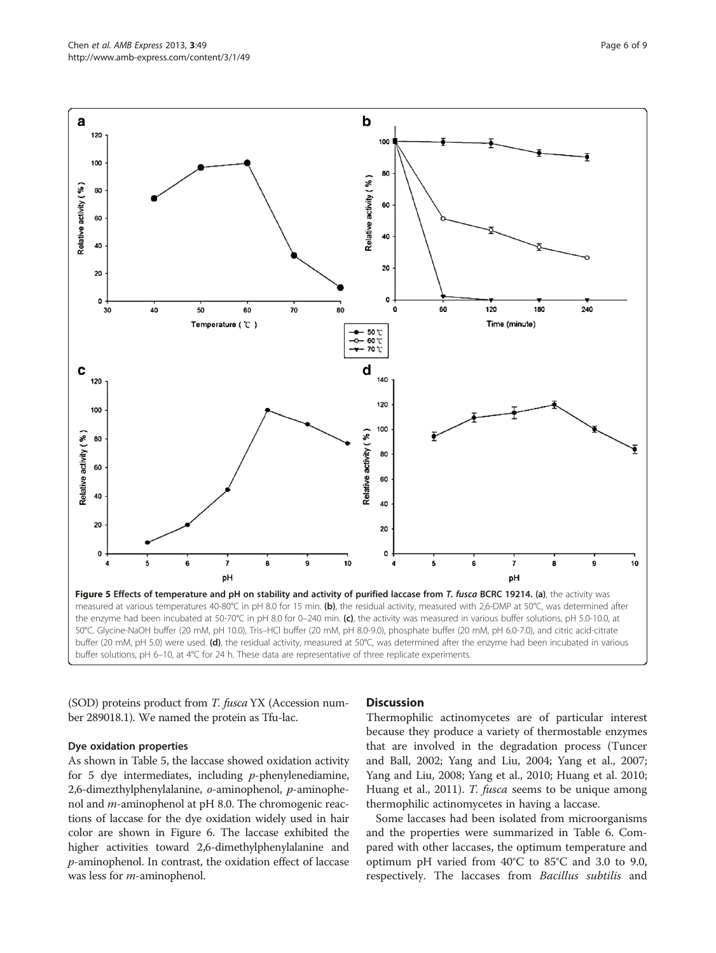<span id="page-5-0"></span>

(SOD) proteins product from T. fusca YX (Accession number 289018.1). We named the protein as Tfu-lac.

### Dye oxidation properties

As shown in Table [5,](#page-6-0) the laccase showed oxidation activity for 5 dye intermediates, including  $p$ -phenylenediamine, 2,6-dimezthylphenylalanine, o-aminophenol, p-aminophenol and m-aminophenol at pH 8.0. The chromogenic reactions of laccase for the dye oxidation widely used in hair color are shown in Figure [6.](#page-7-0) The laccase exhibited the higher activities toward 2,6-dimethylphenylalanine and p-aminophenol. In contrast, the oxidation effect of laccase was less for *m*-aminophenol.

# **Discussion**

Thermophilic actinomycetes are of particular interest because they produce a variety of thermostable enzymes that are involved in the degradation process (Tuncer and Ball, [2002](#page-8-0); Yang and Liu, [2004](#page-8-0); Yang et al., [2007](#page-8-0); Yang and Liu, [2008](#page-8-0); Yang et al., [2010;](#page-8-0) Huang et al. [2010](#page-8-0); Huang et al., [2011](#page-8-0)). T. fusca seems to be unique among thermophilic actinomycetes in having a laccase.

Some laccases had been isolated from microorganisms and the properties were summarized in Table [6.](#page-7-0) Compared with other laccases, the optimum temperature and optimum pH varied from 40°C to 85°C and 3.0 to 9.0, respectively. The laccases from Bacillus subtilis and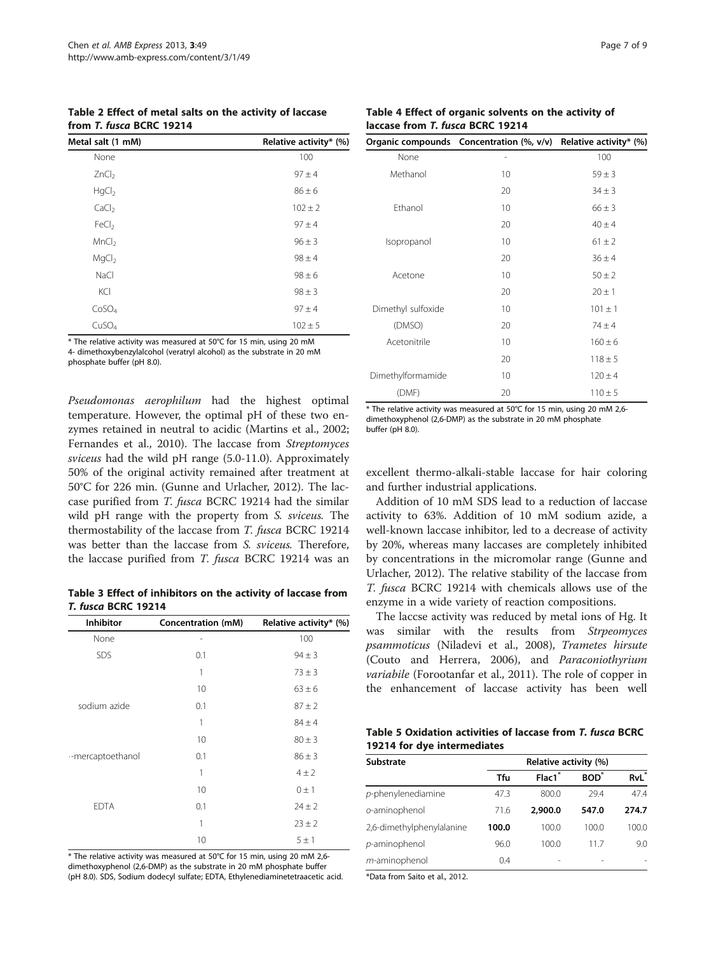<span id="page-6-0"></span>Table 2 Effect of metal salts on the activity of laccase from T. fusca BCRC 19214

| Metal salt (1 mM) | Relative activity* (%) |
|-------------------|------------------------|
| None              | 100                    |
| ZnCl <sub>2</sub> | $97 + 4$               |
| HqCl <sub>2</sub> | $86 \pm 6$             |
| CaCl <sub>2</sub> | $102 \pm 2$            |
| FeCl <sub>2</sub> | $97 + 4$               |
| MnCl <sub>2</sub> | $96 \pm 3$             |
| MqCl <sub>2</sub> | $98 \pm 4$             |
| NaCl              | $98 \pm 6$             |
| KCI               | $98 \pm 3$             |
| CoSO <sub>4</sub> | $97 + 4$               |
| CuSO <sub>4</sub> | $102 \pm 5$            |

he relative activity was measured at 50°C for 15 min, using 20 mM 4- dimethoxybenzylalcohol (veratryl alcohol) as the substrate in 20 mM phosphate buffer (pH 8.0).

Pseudomonas aerophilum had the highest optimal temperature. However, the optimal pH of these two enzymes retained in neutral to acidic (Martins et al., [2002](#page-8-0); Fernandes et al., [2010](#page-8-0)). The laccase from Streptomyces sviceus had the wild pH range (5.0-11.0). Approximately 50% of the original activity remained after treatment at 50°C for 226 min. (Gunne and Urlacher, [2012](#page-8-0)). The laccase purified from T. fusca BCRC 19214 had the similar wild pH range with the property from S. sviceus. The thermostability of the laccase from T. fusca BCRC 19214 was better than the laccase from S. sviceus. Therefore, the laccase purified from T. fusca BCRC 19214 was an

Table 3 Effect of inhibitors on the activity of laccase from T. fusca BCRC 19214

| <b>Inhibitor</b>  | <b>Concentration (mM)</b> | Relative activity* (%) |
|-------------------|---------------------------|------------------------|
| None              | $\overline{a}$            | 100                    |
| SDS               | 0.1                       | $94 \pm 3$             |
|                   | 1                         | $73 \pm 3$             |
|                   | 10                        | $63 \pm 6$             |
| sodium azide      | 0.1                       | $87 \pm 2$             |
|                   | 1                         | $84 \pm 4$             |
|                   | 10                        | $80 \pm 3$             |
| --mercaptoethanol | 0.1                       | $86 \pm 3$             |
|                   | 1                         | $4 \pm 2$              |
|                   | 10                        | $0 \pm 1$              |
| <b>EDTA</b>       | 0.1                       | $24 \pm 2$             |
|                   | 1                         | $23 \pm 2$             |
|                   | 10                        | 5±1                    |

\* The relative activity was measured at 50°C for 15 min, using 20 mM 2,6 dimethoxyphenol (2,6-DMP) as the substrate in 20 mM phosphate buffer (pH 8.0). SDS, Sodium dodecyl sulfate; EDTA, Ethylenediaminetetraacetic acid.

Table 4 Effect of organic solvents on the activity of laccase from T. fusca BCRC 19214

|                    | Organic compounds Concentration (%, v/v) Relative activity* (%) |             |  |  |
|--------------------|-----------------------------------------------------------------|-------------|--|--|
| None               |                                                                 | 100         |  |  |
| Methanol           | 10                                                              | $59 \pm 3$  |  |  |
|                    | 20                                                              | $34 \pm 3$  |  |  |
| Ethanol            | 10                                                              | $66 \pm 3$  |  |  |
|                    | 20                                                              | $40 \pm 4$  |  |  |
| Isopropanol        | 10                                                              | $61 \pm 2$  |  |  |
|                    | 20                                                              | $36 \pm 4$  |  |  |
| Acetone            | 10                                                              | $50 \pm 2$  |  |  |
|                    | 20                                                              | $20 \pm 1$  |  |  |
| Dimethyl sulfoxide | 10                                                              | $101 \pm 1$ |  |  |
| (DMSO)             | 20                                                              | $74 \pm 4$  |  |  |
| Acetonitrile       | 10                                                              | $160 \pm 6$ |  |  |
|                    | 20                                                              | $118 + 5$   |  |  |
| Dimethylformamide  | 10                                                              | $120 \pm 4$ |  |  |
| (DMF)              | 20                                                              | $110 \pm 5$ |  |  |

\* The relative activity was measured at 50°C for 15 min, using 20 mM 2,6 dimethoxyphenol (2,6-DMP) as the substrate in 20 mM phosphate buffer (pH 8.0).

excellent thermo-alkali-stable laccase for hair coloring and further industrial applications.

Addition of 10 mM SDS lead to a reduction of laccase activity to 63%. Addition of 10 mM sodium azide, a well-known laccase inhibitor, led to a decrease of activity by 20%, whereas many laccases are completely inhibited by concentrations in the micromolar range (Gunne and Urlacher, [2012\)](#page-8-0). The relative stability of the laccase from T. fusca BCRC 19214 with chemicals allows use of the enzyme in a wide variety of reaction compositions.

The laccse activity was reduced by metal ions of Hg. It was similar with the results from Strpeomyces psammoticus (Niladevi et al., [2008\)](#page-8-0), Trametes hirsute (Couto and Herrera, [2006\)](#page-8-0), and Paraconiothyrium variabile (Forootanfar et al., [2011](#page-8-0)). The role of copper in the enhancement of laccase activity has been well

Table 5 Oxidation activities of laccase from T. fusca BCRC 19214 for dye intermediates

| Substrate                 |       | Relative activity (%) |            |                  |  |  |  |  |
|---------------------------|-------|-----------------------|------------|------------------|--|--|--|--|
|                           | Tfu   | Flac1*                | <b>BOD</b> | RvL <sup>*</sup> |  |  |  |  |
| $p$ -phenylenediamine     | 47.3  | 800.0                 | 29.4       | 47.4             |  |  |  |  |
| o-aminophenol             | 71.6  | 2,900.0               | 547.0      | 274.7            |  |  |  |  |
| 2,6-dimethylphenylalanine | 100.0 | 100.0                 | 100.0      | 100.0            |  |  |  |  |
| p-aminophenol             | 96.0  | 100.0                 | 11 7       | 9.0              |  |  |  |  |
| m-aminophenol             | 0.4   |                       |            |                  |  |  |  |  |

\*Data from Saito et al., [2012.](#page-8-0)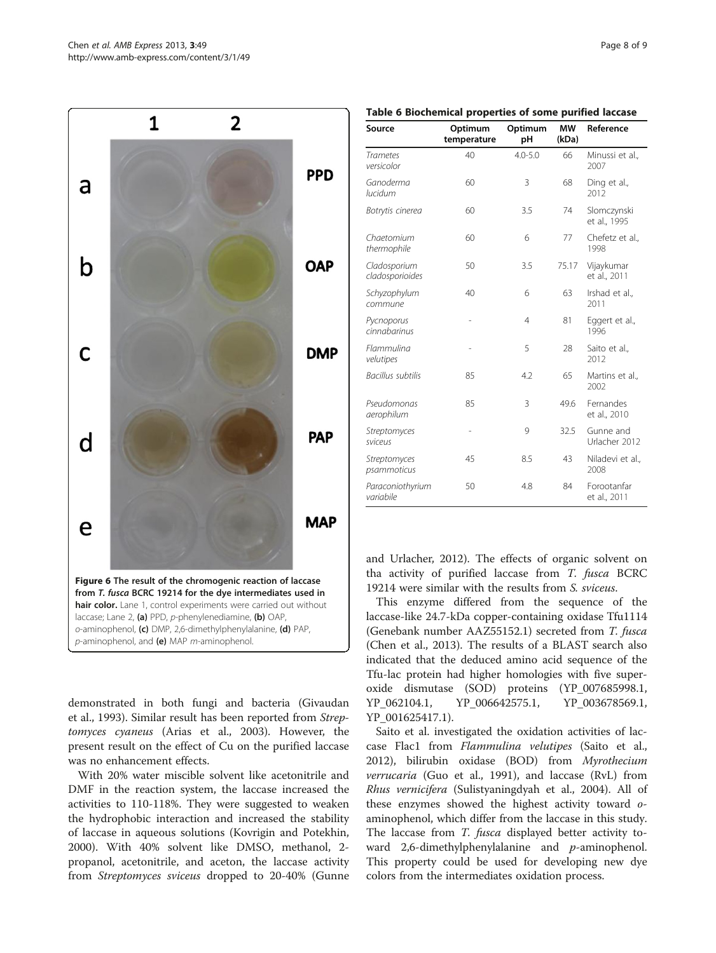demonstrated in both fungi and bacteria (Givaudan et al., [1993](#page-8-0)). Similar result has been reported from Streptomyces cyaneus (Arias et al., [2003\)](#page-8-0). However, the present result on the effect of Cu on the purified laccase was no enhancement effects.

Figure 6 The result of the chromogenic reaction of laccase from T. fusca BCRC 19214 for the dye intermediates used in hair color. Lane 1, control experiments were carried out without laccase; Lane 2, (a) PPD, p-phenylenediamine, (b) OAP, o-aminophenol, (c) DMP, 2,6-dimethylphenylalanine, (d) PAP,

 $p$ -aminophenol, and (e) MAP  $m$ -aminophenol.

With 20% water miscible solvent like acetonitrile and DMF in the reaction system, the laccase increased the activities to 110-118%. They were suggested to weaken the hydrophobic interaction and increased the stability of laccase in aqueous solutions (Kovrigin and Potekhin, [2000](#page-8-0)). With 40% solvent like DMSO, methanol, 2 propanol, acetonitrile, and aceton, the laccase activity from Streptomyces sviceus dropped to 20-40% (Gunne and Urlacher, [2012\)](#page-8-0). The effects of organic solvent on tha activity of purified laccase from T. fusca BCRC 19214 were similar with the results from S. sviceus.

This enzyme differed from the sequence of the laccase-like 24.7-kDa copper-containing oxidase Tfu1114 (Genebank number AAZ55152.1) secreted from T. fusca (Chen et al., [2013\)](#page-8-0). The results of a BLAST search also indicated that the deduced amino acid sequence of the Tfu-lac protein had higher homologies with five superoxide dismutase (SOD) proteins (YP\_007685998.1, YP\_062104.1, YP\_006642575.1, YP\_003678569.1, YP\_001625417.1).

Saito et al. investigated the oxidation activities of laccase Flac1 from Flammulina velutipes (Saito et al., [2012](#page-8-0)), bilirubin oxidase (BOD) from Myrothecium verrucaria (Guo et al., [1991\)](#page-8-0), and laccase (RvL) from Rhus vernicifera (Sulistyaningdyah et al., [2004\)](#page-8-0). All of these enzymes showed the highest activity toward oaminophenol, which differ from the laccase in this study. The laccase from T. fusca displayed better activity toward 2,6-dimethylphenylalanine and  $p$ -aminophenol. This property could be used for developing new dye colors from the intermediates oxidation process.

|  |  |  |  |  |  |  |  |  | Table 6 Biochemical properties of some purified laccase |  |
|--|--|--|--|--|--|--|--|--|---------------------------------------------------------|--|
|--|--|--|--|--|--|--|--|--|---------------------------------------------------------|--|

| Source                          | Optimum<br>temperature | Optimum<br>pH | <b>MW</b><br>(kDa) | Reference                   |
|---------------------------------|------------------------|---------------|--------------------|-----------------------------|
| <b>Trametes</b><br>versicolor   | 40                     | $4.0 - 5.0$   | 66                 | Minussi et al.,<br>2007     |
| Ganoderma<br>lucidum            | 60                     | 3             | 68                 | Ding et al.,<br>2012        |
| Botrytis cinerea                | 60                     | 3.5           | 74                 | Slomczynski<br>et al., 1995 |
| Chaetomium<br>thermophile       | 60                     | 6             | 77                 | Chefetz et al.,<br>1998     |
| Cladosporium<br>cladosporioides | 50                     | 3.5           | 75.17              | Vijaykumar<br>et al., 2011  |
| Schyzophylum<br>commune         | 40                     | 6             | 63                 | Irshad et al.,<br>2011      |
| Pycnoporus<br>cinnabarinus      | $\overline{a}$         | 4             | 81                 | Eggert et al.,<br>1996      |
| Flammulina<br>velutipes         |                        | 5             | 28                 | Saito et al.,<br>2012       |
| Bacillus subtilis               | 85                     | 4.2           | 65                 | Martins et al.,<br>2002     |
| Pseudomonas<br>aerophilum       | 85                     | 3             | 49.6               | Fernandes<br>et al., 2010   |
| Streptomyces<br>sviceus         | i,                     | 9             | 32.5               | Gunne and<br>Urlacher 2012  |
| Streptomyces<br>psammoticus     | 45                     | 8.5           | 43                 | Niladevi et al.,<br>2008    |
| Paraconiothyrium<br>variabile   | 50                     | 4.8           | 84                 | Forootanfar<br>et al., 2011 |

<span id="page-7-0"></span>1 2

a

b

C

d

e

**PPD** 

**OAP** 

**DMP** 

**PAP** 

**MAP**